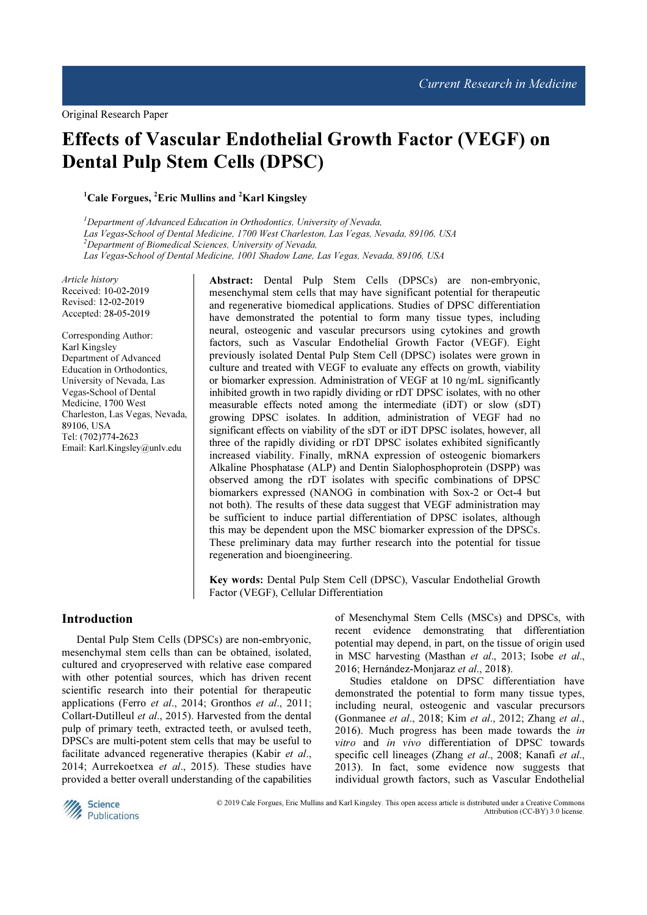I

# Effects of Vascular Endothelial Growth Factor (VEGF) on Dental Pulp Stem Cells (DPSC)

 $1^1$ Cale Forgues,  $2^1$ Eric Mullins and  $2^1$ Karl Kingslev

 ${}^{1}$ Department of Advanced Education in Orthodontics, University of Nevada, Las Vegas-School of Dental Medicine, 1700 West Charleston, Las Vegas, Nevada, 89106, USA <sup>2</sup>Department of Biomedical Sciences, University of Nevada, Las Vegas-School of Dental Medicine, 1001 Shadow Lane, Las Vegas, Nevada, 89106, USA

Article history Received: 10-02-2019 Revised: 12-02-2019 Accepted: 28-05-2019

Corresponding Author: Karl Kingsley Department of Advanced Education in Orthodontics, University of Nevada, Las Vegas-School of Dental Medicine, 1700 West Charleston, Las Vegas, Nevada, 89106, USA Tel: (702)774-2623 Email: Karl.Kingsley@unlv.edu

Abstract: Dental Pulp Stem Cells (DPSCs) are non-embryonic, mesenchymal stem cells that may have significant potential for therapeutic and regenerative biomedical applications. Studies of DPSC differentiation have demonstrated the potential to form many tissue types, including neural, osteogenic and vascular precursors using cytokines and growth factors, such as Vascular Endothelial Growth Factor (VEGF). Eight previously isolated Dental Pulp Stem Cell (DPSC) isolates were grown in culture and treated with VEGF to evaluate any effects on growth, viability or biomarker expression. Administration of VEGF at 10 ng/mL significantly inhibited growth in two rapidly dividing or rDT DPSC isolates, with no other measurable effects noted among the intermediate (iDT) or slow (sDT) growing DPSC isolates. In addition, administration of VEGF had no significant effects on viability of the sDT or iDT DPSC isolates, however, all three of the rapidly dividing or rDT DPSC isolates exhibited significantly increased viability. Finally, mRNA expression of osteogenic biomarkers Alkaline Phosphatase (ALP) and Dentin Sialophosphoprotein (DSPP) was observed among the rDT isolates with specific combinations of DPSC biomarkers expressed (NANOG in combination with Sox-2 or Oct-4 but not both). The results of these data suggest that VEGF administration may be sufficient to induce partial differentiation of DPSC isolates, although this may be dependent upon the MSC biomarker expression of the DPSCs. These preliminary data may further research into the potential for tissue regeneration and bioengineering.

Key words: Dental Pulp Stem Cell (DPSC), Vascular Endothelial Growth Factor (VEGF), Cellular Differentiation

#### Introduction

Dental Pulp Stem Cells (DPSCs) are non-embryonic, mesenchymal stem cells than can be obtained, isolated, cultured and cryopreserved with relative ease compared with other potential sources, which has driven recent scientific research into their potential for therapeutic applications (Ferro et al., 2014; Gronthos et al., 2011; Collart-Dutilleul et al., 2015). Harvested from the dental pulp of primary teeth, extracted teeth, or avulsed teeth, DPSCs are multi-potent stem cells that may be useful to facilitate advanced regenerative therapies (Kabir et al., 2014; Aurrekoetxea et al., 2015). These studies have provided a better overall understanding of the capabilities

of Mesenchymal Stem Cells (MSCs) and DPSCs, with recent evidence demonstrating that differentiation potential may depend, in part, on the tissue of origin used in MSC harvesting (Masthan et al., 2013; Isobe et al., 2016; Hernández-Monjaraz et al., 2018).

Studies etaldone on DPSC differentiation have demonstrated the potential to form many tissue types, including neural, osteogenic and vascular precursors (Gonmanee et al., 2018; Kim et al., 2012; Zhang et al., 2016). Much progress has been made towards the in vitro and in vivo differentiation of DPSC towards specific cell lineages (Zhang et al., 2008; Kanafi et al., 2013). In fact, some evidence now suggests that individual growth factors, such as Vascular Endothelial



© 2019 Cale Forgues, Eric Mullins and Karl Kingsley. This open access article is distributed under a Creative Commons Attribution (CC-BY) 3.0 license.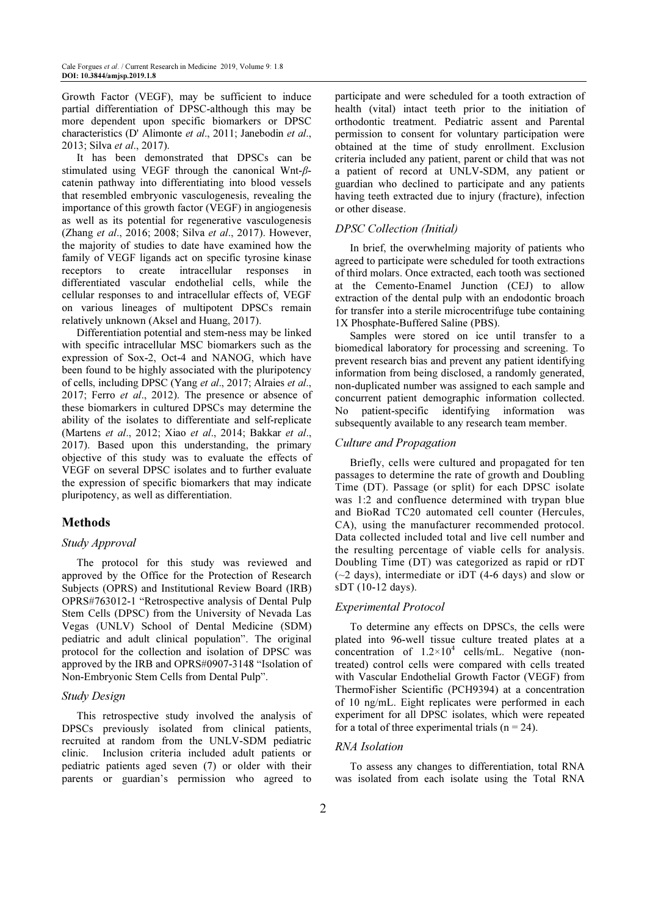Growth Factor (VEGF), may be sufficient to induce partial differentiation of DPSC-although this may be more dependent upon specific biomarkers or DPSC characteristics (D' Alimonte et al., 2011; Janebodin et al., 2013; Silva et al., 2017).

It has been demonstrated that DPSCs can be stimulated using VEGF through the canonical Wnt-βcatenin pathway into differentiating into blood vessels that resembled embryonic vasculogenesis, revealing the importance of this growth factor (VEGF) in angiogenesis as well as its potential for regenerative vasculogenesis (Zhang et al., 2016; 2008; Silva et al., 2017). However, the majority of studies to date have examined how the family of VEGF ligands act on specific tyrosine kinase receptors to create intracellular responses in differentiated vascular endothelial cells, while the cellular responses to and intracellular effects of, VEGF on various lineages of multipotent DPSCs remain relatively unknown (Aksel and Huang, 2017).

Differentiation potential and stem-ness may be linked with specific intracellular MSC biomarkers such as the expression of Sox-2, Oct-4 and NANOG, which have been found to be highly associated with the pluripotency of cells, including DPSC (Yang et al., 2017; Alraies et al., 2017; Ferro et al., 2012). The presence or absence of these biomarkers in cultured DPSCs may determine the ability of the isolates to differentiate and self-replicate (Martens et al., 2012; Xiao et al., 2014; Bakkar et al., 2017). Based upon this understanding, the primary objective of this study was to evaluate the effects of VEGF on several DPSC isolates and to further evaluate the expression of specific biomarkers that may indicate pluripotency, as well as differentiation.

# Methods

#### Study Approval

The protocol for this study was reviewed and approved by the Office for the Protection of Research Subjects (OPRS) and Institutional Review Board (IRB) OPRS#763012-1 "Retrospective analysis of Dental Pulp Stem Cells (DPSC) from the University of Nevada Las Vegas (UNLV) School of Dental Medicine (SDM) pediatric and adult clinical population". The original protocol for the collection and isolation of DPSC was approved by the IRB and OPRS#0907-3148 "Isolation of Non-Embryonic Stem Cells from Dental Pulp".

#### Study Design

This retrospective study involved the analysis of DPSCs previously isolated from clinical patients, recruited at random from the UNLV-SDM pediatric clinic. Inclusion criteria included adult patients or pediatric patients aged seven (7) or older with their parents or guardian's permission who agreed to

participate and were scheduled for a tooth extraction of health (vital) intact teeth prior to the initiation of orthodontic treatment. Pediatric assent and Parental permission to consent for voluntary participation were obtained at the time of study enrollment. Exclusion criteria included any patient, parent or child that was not a patient of record at UNLV-SDM, any patient or guardian who declined to participate and any patients having teeth extracted due to injury (fracture), infection or other disease.

#### DPSC Collection (Initial)

In brief, the overwhelming majority of patients who agreed to participate were scheduled for tooth extractions of third molars. Once extracted, each tooth was sectioned at the Cemento-Enamel Junction (CEJ) to allow extraction of the dental pulp with an endodontic broach for transfer into a sterile microcentrifuge tube containing 1X Phosphate-Buffered Saline (PBS).

Samples were stored on ice until transfer to a biomedical laboratory for processing and screening. To prevent research bias and prevent any patient identifying information from being disclosed, a randomly generated, non-duplicated number was assigned to each sample and concurrent patient demographic information collected. No patient-specific identifying information was subsequently available to any research team member.

## Culture and Propagation

Briefly, cells were cultured and propagated for ten passages to determine the rate of growth and Doubling Time (DT). Passage (or split) for each DPSC isolate was 1:2 and confluence determined with trypan blue and BioRad TC20 automated cell counter (Hercules, CA), using the manufacturer recommended protocol. Data collected included total and live cell number and the resulting percentage of viable cells for analysis. Doubling Time (DT) was categorized as rapid or rDT  $(-2 \text{ days})$ , intermediate or iDT (4-6 days) and slow or sDT (10-12 days).

#### Experimental Protocol

To determine any effects on DPSCs, the cells were plated into 96-well tissue culture treated plates at a concentration of  $1.2 \times 10^4$  cells/mL. Negative (nontreated) control cells were compared with cells treated with Vascular Endothelial Growth Factor (VEGF) from ThermoFisher Scientific (PCH9394) at a concentration of 10 ng/mL. Eight replicates were performed in each experiment for all DPSC isolates, which were repeated for a total of three experimental trials ( $n = 24$ ).

#### RNA Isolation

To assess any changes to differentiation, total RNA was isolated from each isolate using the Total RNA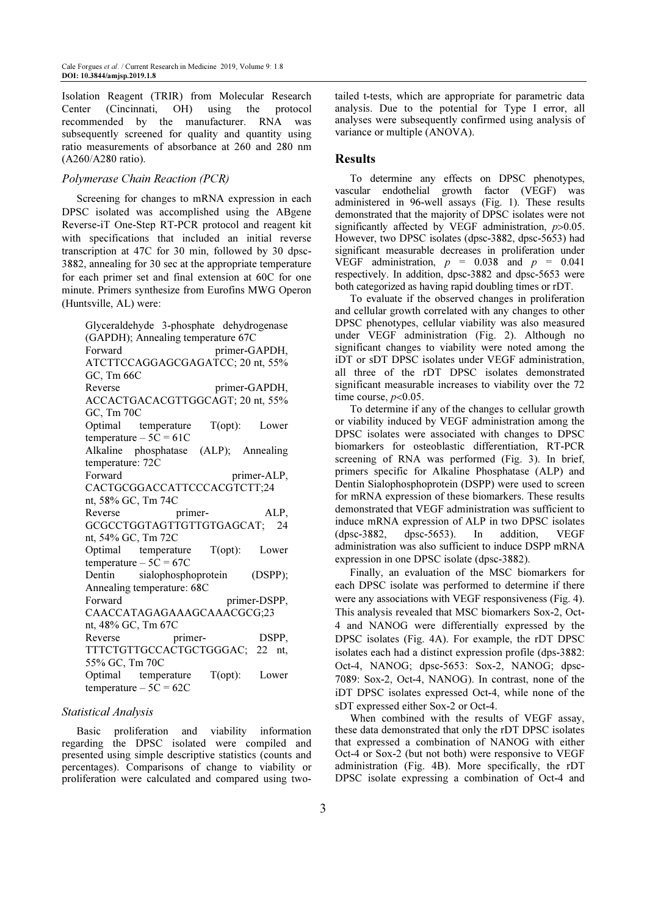Isolation Reagent (TRIR) from Molecular Research Center (Cincinnati, OH) using the protocol recommended by the manufacturer. RNA was subsequently screened for quality and quantity using ratio measurements of absorbance at 260 and 280 nm (A260/A280 ratio).

#### Polymerase Chain Reaction (PCR)

Screening for changes to mRNA expression in each DPSC isolated was accomplished using the ABgene Reverse-iT One-Step RT-PCR protocol and reagent kit with specifications that included an initial reverse transcription at 47C for 30 min, followed by 30 dpsc-3882, annealing for 30 sec at the appropriate temperature for each primer set and final extension at 60C for one minute. Primers synthesize from Eurofins MWG Operon (Huntsville, AL) were:

Glyceraldehyde 3-phosphate dehydrogenase (GAPDH); Annealing temperature 67C Forward primer-GAPDH, ATCTTCCAGGAGCGAGATCC; 20 nt, 55% GC, Tm 66C Reverse primer-GAPDH, ACCACTGACACGTTGGCAGT; 20 nt, 55% GC, Tm 70C Optimal temperature T(opt): Lower temperature  $-5C = 61C$ Alkaline phosphatase (ALP); Annealing temperature: 72C Forward primer-ALP, CACTGCGGACCATTCCCACGTCTT;24 nt, 58% GC, Tm 74C Reverse primer-<br>
ALP. GCGCCTGGTAGTTGTTGTGAGCAT; 24 nt, 54% GC, Tm 72C Optimal temperature T(opt): Lower temperature  $-5C = 67C$ Dentin sialophosphoprotein (DSPP); Annealing temperature: 68C Forward primer-DSPP, CAACCATAGAGAAAGCAAACGCG;23 nt, 48% GC, Tm 67C Reverse primer- DSPP, TTTCTGTTGCCACTGCTGGGAC; 22 nt, 55% GC, Tm 70C Optimal temperature T(opt): Lower temperature  $-5C = 62C$ 

#### Statistical Analysis

Basic proliferation and viability information regarding the DPSC isolated were compiled and presented using simple descriptive statistics (counts and percentages). Comparisons of change to viability or proliferation were calculated and compared using twotailed t-tests, which are appropriate for parametric data analysis. Due to the potential for Type I error, all analyses were subsequently confirmed using analysis of variance or multiple (ANOVA).

#### **Results**

To determine any effects on DPSC phenotypes, vascular endothelial growth factor (VEGF) was administered in 96-well assays (Fig. 1). These results demonstrated that the majority of DPSC isolates were not significantly affected by VEGF administration,  $p > 0.05$ . However, two DPSC isolates (dpsc-3882, dpsc-5653) had significant measurable decreases in proliferation under VEGF administration,  $p = 0.038$  and  $p = 0.041$ respectively. In addition, dpsc-3882 and dpsc-5653 were both categorized as having rapid doubling times or rDT.

To evaluate if the observed changes in proliferation and cellular growth correlated with any changes to other DPSC phenotypes, cellular viability was also measured under VEGF administration (Fig. 2). Although no significant changes to viability were noted among the iDT or sDT DPSC isolates under VEGF administration, all three of the rDT DPSC isolates demonstrated significant measurable increases to viability over the 72 time course,  $p<0.05$ .

To determine if any of the changes to cellular growth or viability induced by VEGF administration among the DPSC isolates were associated with changes to DPSC biomarkers for osteoblastic differentiation, RT-PCR screening of RNA was performed (Fig. 3). In brief, primers specific for Alkaline Phosphatase (ALP) and Dentin Sialophosphoprotein (DSPP) were used to screen for mRNA expression of these biomarkers. These results demonstrated that VEGF administration was sufficient to induce mRNA expression of ALP in two DPSC isolates (dpsc-3882, dpsc-5653). In addition, VEGF administration was also sufficient to induce DSPP mRNA expression in one DPSC isolate (dpsc-3882).

Finally, an evaluation of the MSC biomarkers for each DPSC isolate was performed to determine if there were any associations with VEGF responsiveness (Fig. 4). This analysis revealed that MSC biomarkers Sox-2, Oct-4 and NANOG were differentially expressed by the DPSC isolates (Fig. 4A). For example, the rDT DPSC isolates each had a distinct expression profile (dps-3882: Oct-4, NANOG; dpsc-5653: Sox-2, NANOG; dpsc-7089: Sox-2, Oct-4, NANOG). In contrast, none of the iDT DPSC isolates expressed Oct-4, while none of the sDT expressed either Sox-2 or Oct-4.

When combined with the results of VEGF assay, these data demonstrated that only the rDT DPSC isolates that expressed a combination of NANOG with either Oct-4 or Sox-2 (but not both) were responsive to VEGF administration (Fig. 4B). More specifically, the rDT DPSC isolate expressing a combination of Oct-4 and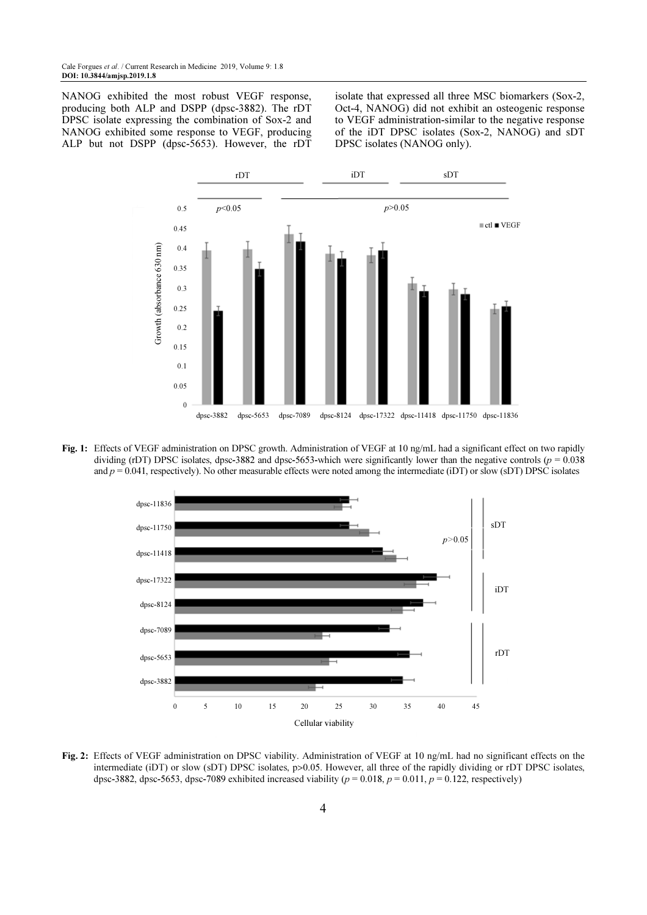NANOG exhibited the most robust VEGF response, producing both ALP and DSPP (dpsc-3882). The rDT DPSC isolate expressing the combination of Sox-2 and NANOG exhibited some response to VEGF, producing ALP but not DSPP (dpsc-5653). However, the rDT isolate that expressed all three MSC biomarkers (Sox-2, Oct-4, NANOG) did not exhibit an osteogenic response to VEGF administration-similar to the negative response of the iDT DPSC isolates (Sox-2, NANOG) and sDT DPSC isolates (NANOG only).



Fig. 1: Effects of VEGF administration on DPSC growth. Administration of VEGF at 10 ng/mL had a significant effect on two rapidly dividing (rDT) DPSC isolates, dpsc-3882 and dpsc-5653-which were significantly lower than the negative controls ( $p = 0.038$ ) and  $p = 0.041$ , respectively). No other measurable effects were noted among the intermediate (iDT) or slow (sDT) DPSC isolates



Fig. 2: Effects of VEGF administration on DPSC viability. Administration of VEGF at 10 ng/mL had no significant effects on the intermediate (iDT) or slow (sDT) DPSC isolates, p>0.05. However, all three of the rapidly dividing or rDT DPSC isolates, dpsc-3882, dpsc-5653, dpsc-7089 exhibited increased viability ( $p = 0.018$ ,  $p = 0.011$ ,  $p = 0.122$ , respectively)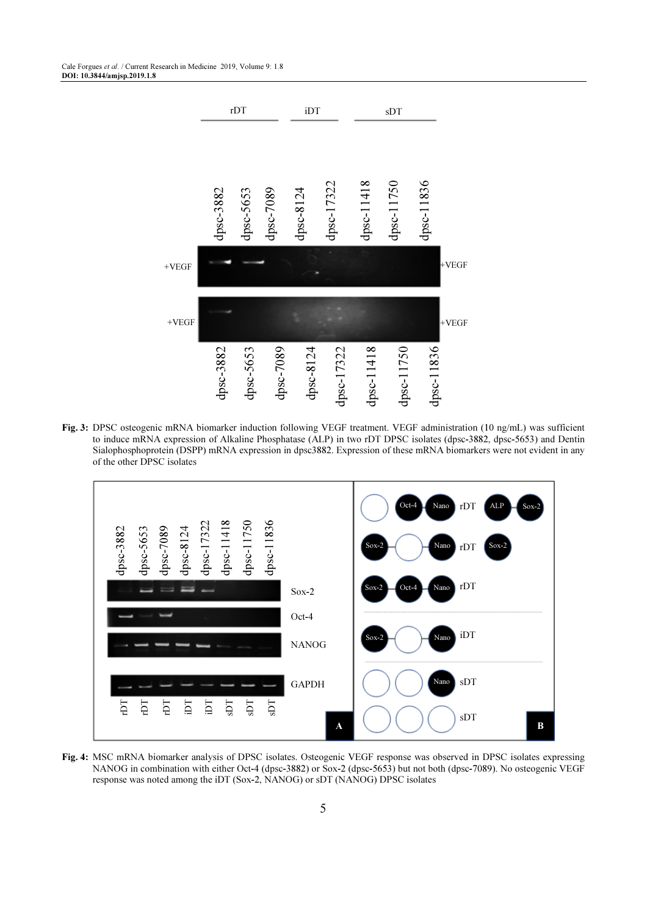

Fig. 3: DPSC osteogenic mRNA biomarker induction following VEGF treatment. VEGF administration (10 ng/mL) was sufficient to induce mRNA expression of Alkaline Phosphatase (ALP) in two rDT DPSC isolates (dpsc-3882, dpsc-5653) and Dentin Sialophosphoprotein (DSPP) mRNA expression in dpsc3882. Expression of these mRNA biomarkers were not evident in any of the other DPSC isolates



Fig. 4: MSC mRNA biomarker analysis of DPSC isolates. Osteogenic VEGF response was observed in DPSC isolates expressing NANOG in combination with either Oct-4 (dpsc-3882) or Sox-2 (dpsc-5653) but not both (dpsc-7089). No osteogenic VEGF<br>response was noted among the iDT (Sox-2, NANOG) or sDT (NANOG) DPSC isolates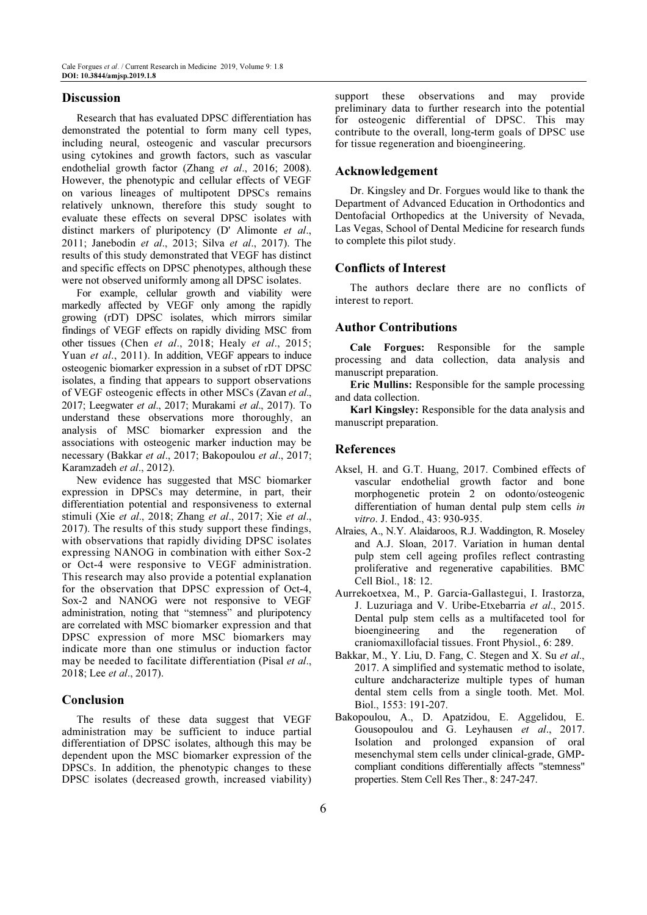## **Discussion**

Research that has evaluated DPSC differentiation has demonstrated the potential to form many cell types, including neural, osteogenic and vascular precursors using cytokines and growth factors, such as vascular endothelial growth factor (Zhang et al., 2016; 2008). However, the phenotypic and cellular effects of VEGF on various lineages of multipotent DPSCs remains relatively unknown, therefore this study sought to evaluate these effects on several DPSC isolates with distinct markers of pluripotency (D' Alimonte et al., 2011; Janebodin et al., 2013; Silva et al., 2017). The results of this study demonstrated that VEGF has distinct and specific effects on DPSC phenotypes, although these were not observed uniformly among all DPSC isolates.

For example, cellular growth and viability were markedly affected by VEGF only among the rapidly growing (rDT) DPSC isolates, which mirrors similar findings of VEGF effects on rapidly dividing MSC from other tissues (Chen et al., 2018; Healy et al., 2015; Yuan *et al.*, 2011). In addition, VEGF appears to induce osteogenic biomarker expression in a subset of rDT DPSC isolates, a finding that appears to support observations of VEGF osteogenic effects in other MSCs (Zavan et al., 2017; Leegwater et al., 2017; Murakami et al., 2017). To understand these observations more thoroughly, an analysis of MSC biomarker expression and the associations with osteogenic marker induction may be necessary (Bakkar et al., 2017; Bakopoulou et al., 2017; Karamzadeh et al., 2012).

New evidence has suggested that MSC biomarker expression in DPSCs may determine, in part, their differentiation potential and responsiveness to external stimuli (Xie et al., 2018; Zhang et al., 2017; Xie et al., 2017). The results of this study support these findings, with observations that rapidly dividing DPSC isolates expressing NANOG in combination with either Sox-2 or Oct-4 were responsive to VEGF administration. This research may also provide a potential explanation for the observation that DPSC expression of Oct-4, Sox-2 and NANOG were not responsive to VEGF administration, noting that "stemness" and pluripotency are correlated with MSC biomarker expression and that DPSC expression of more MSC biomarkers may indicate more than one stimulus or induction factor may be needed to facilitate differentiation (Pisal et al., 2018; Lee et al., 2017).

## Conclusion

The results of these data suggest that VEGF administration may be sufficient to induce partial differentiation of DPSC isolates, although this may be dependent upon the MSC biomarker expression of the DPSCs. In addition, the phenotypic changes to these DPSC isolates (decreased growth, increased viability) support these observations and may provide preliminary data to further research into the potential for osteogenic differential of DPSC. This may contribute to the overall, long-term goals of DPSC use for tissue regeneration and bioengineering.

## Acknowledgement

Dr. Kingsley and Dr. Forgues would like to thank the Department of Advanced Education in Orthodontics and Dentofacial Orthopedics at the University of Nevada, Las Vegas, School of Dental Medicine for research funds to complete this pilot study.

#### Conflicts of Interest

The authors declare there are no conflicts of interest to report.

# Author Contributions

Cale Forgues: Responsible for the sample processing and data collection, data analysis and manuscript preparation.

Eric Mullins: Responsible for the sample processing and data collection.

Karl Kingsley: Responsible for the data analysis and manuscript preparation.

# References

- Aksel, H. and G.T. Huang, 2017. Combined effects of vascular endothelial growth factor and bone morphogenetic protein 2 on odonto/osteogenic differentiation of human dental pulp stem cells in vitro. J. Endod., 43: 930-935.
- Alraies, A., N.Y. Alaidaroos, R.J. Waddington, R. Moseley and A.J. Sloan, 2017. Variation in human dental pulp stem cell ageing profiles reflect contrasting proliferative and regenerative capabilities. BMC Cell Biol., 18: 12.
- Aurrekoetxea, M., P. Garcia-Gallastegui, I. Irastorza, J. Luzuriaga and V. Uribe-Etxebarria et al., 2015. Dental pulp stem cells as a multifaceted tool for bioengineering and the regeneration of craniomaxillofacial tissues. Front Physiol., 6: 289.
- Bakkar, M., Y. Liu, D. Fang, C. Stegen and X. Su et al., 2017. A simplified and systematic method to isolate, culture andcharacterize multiple types of human dental stem cells from a single tooth. Met. Mol. Biol., 1553: 191-207.
- Bakopoulou, A., D. Apatzidou, E. Aggelidou, E. Gousopoulou and G. Leyhausen et al., 2017. Isolation and prolonged expansion of oral mesenchymal stem cells under clinical-grade, GMPcompliant conditions differentially affects "stemness" properties. Stem Cell Res Ther., 8: 247-247.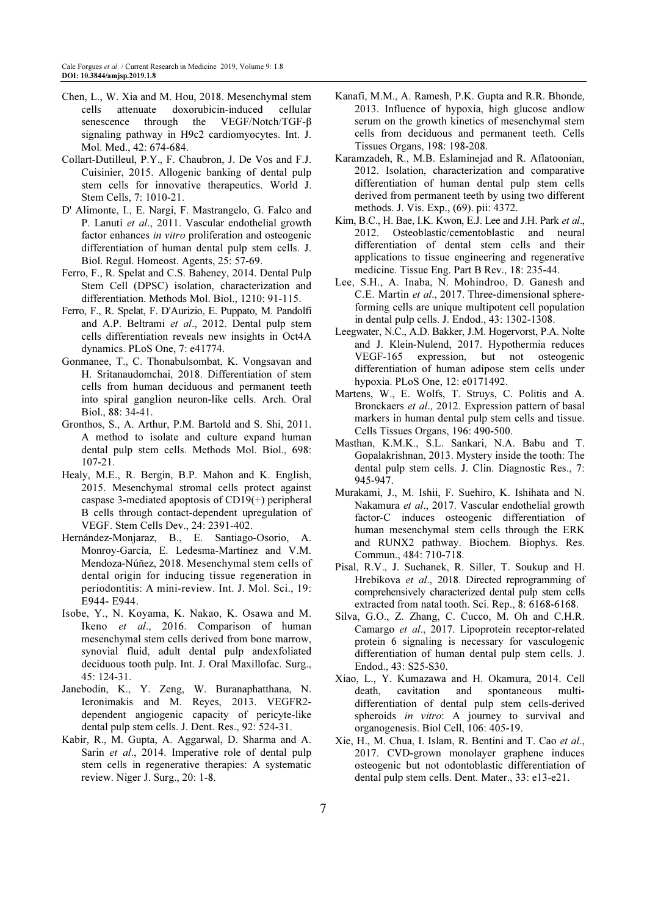- Chen, L., W. Xia and M. Hou, 2018. Mesenchymal stem cells attenuate doxorubicin-induced cellular senescence through the VEGF/Notch/TGF-β signaling pathway in H9c2 cardiomyocytes. Int. J. Mol. Med., 42: 674-684.
- Collart-Dutilleul, P.Y., F. Chaubron, J. De Vos and F.J. Cuisinier, 2015. Allogenic banking of dental pulp stem cells for innovative therapeutics. World J. Stem Cells, 7: 1010-21.
- D' Alimonte, I., E. Nargi, F. Mastrangelo, G. Falco and P. Lanuti et al., 2011. Vascular endothelial growth factor enhances in vitro proliferation and osteogenic differentiation of human dental pulp stem cells. J. Biol. Regul. Homeost. Agents, 25: 57-69.
- Ferro, F., R. Spelat and C.S. Baheney, 2014. Dental Pulp Stem Cell (DPSC) isolation, characterization and differentiation. Methods Mol. Biol., 1210: 91-115.
- Ferro, F., R. Spelat, F. D'Aurizio, E. Puppato, M. Pandolfi and A.P. Beltrami et al., 2012. Dental pulp stem cells differentiation reveals new insights in Oct4A dynamics. PLoS One, 7: e41774.
- Gonmanee, T., C. Thonabulsombat, K. Vongsavan and H. Sritanaudomchai, 2018. Differentiation of stem cells from human deciduous and permanent teeth into spiral ganglion neuron-like cells. Arch. Oral Biol., 88: 34-41.
- Gronthos, S., A. Arthur, P.M. Bartold and S. Shi, 2011. A method to isolate and culture expand human dental pulp stem cells. Methods Mol. Biol., 698: 107-21.
- Healy, M.E., R. Bergin, B.P. Mahon and K. English, 2015. Mesenchymal stromal cells protect against caspase 3-mediated apoptosis of CD19(+) peripheral B cells through contact-dependent upregulation of VEGF. Stem Cells Dev., 24: 2391-402.
- Hernández-Monjaraz, B., E. Santiago-Osorio, A. Monroy-García, E. Ledesma-Martínez and V.M. Mendoza-Núñez, 2018. Mesenchymal stem cells of dental origin for inducing tissue regeneration in periodontitis: A mini-review. Int. J. Mol. Sci., 19: E944- E944.
- Isobe, Y., N. Koyama, K. Nakao, K. Osawa and M. Ikeno et al., 2016. Comparison of human mesenchymal stem cells derived from bone marrow, synovial fluid, adult dental pulp andexfoliated deciduous tooth pulp. Int. J. Oral Maxillofac. Surg., 45: 124-31.
- Janebodin, K., Y. Zeng, W. Buranaphatthana, N. Ieronimakis and M. Reyes, 2013. VEGFR2 dependent angiogenic capacity of pericyte-like dental pulp stem cells. J. Dent. Res., 92: 524-31.
- Kabir, R., M. Gupta, A. Aggarwal, D. Sharma and A. Sarin et al., 2014. Imperative role of dental pulp stem cells in regenerative therapies: A systematic review. Niger J. Surg., 20: 1-8.
- Kanafi, M.M., A. Ramesh, P.K. Gupta and R.R. Bhonde, 2013. Influence of hypoxia, high glucose andlow serum on the growth kinetics of mesenchymal stem cells from deciduous and permanent teeth. Cells Tissues Organs, 198: 198-208.
- Karamzadeh, R., M.B. Eslaminejad and R. Aflatoonian, 2012. Isolation, characterization and comparative differentiation of human dental pulp stem cells derived from permanent teeth by using two different methods. J. Vis. Exp., (69). pii: 4372.
- Kim, B.C., H. Bae, I.K. Kwon, E.J. Lee and J.H. Park et al., 2012. Osteoblastic/cementoblastic and neural differentiation of dental stem cells and their applications to tissue engineering and regenerative medicine. Tissue Eng. Part B Rev., 18: 235-44.
- Lee, S.H., A. Inaba, N. Mohindroo, D. Ganesh and C.E. Martin et al., 2017. Three-dimensional sphereforming cells are unique multipotent cell population in dental pulp cells. J. Endod., 43: 1302-1308.
- Leegwater, N.C., A.D. Bakker, J.M. Hogervorst, P.A. Nolte and J. Klein-Nulend, 2017. Hypothermia reduces VEGF-165 expression, but not osteogenic differentiation of human adipose stem cells under hypoxia. PLoS One, 12: e0171492.
- Martens, W., E. Wolfs, T. Struys, C. Politis and A. Bronckaers et al., 2012. Expression pattern of basal markers in human dental pulp stem cells and tissue. Cells Tissues Organs, 196: 490-500.
- Masthan, K.M.K., S.L. Sankari, N.A. Babu and T. Gopalakrishnan, 2013. Mystery inside the tooth: The dental pulp stem cells. J. Clin. Diagnostic Res., 7: 945-947.
- Murakami, J., M. Ishii, F. Suehiro, K. Ishihata and N. Nakamura et al., 2017. Vascular endothelial growth factor-C induces osteogenic differentiation of human mesenchymal stem cells through the ERK and RUNX2 pathway. Biochem. Biophys. Res. Commun., 484: 710-718.
- Pisal, R.V., J. Suchanek, R. Siller, T. Soukup and H. Hrebikova et al., 2018. Directed reprogramming of comprehensively characterized dental pulp stem cells extracted from natal tooth. Sci. Rep., 8: 6168-6168.
- Silva, G.O., Z. Zhang, C. Cucco, M. Oh and C.H.R. Camargo et al., 2017. Lipoprotein receptor-related protein 6 signaling is necessary for vasculogenic differentiation of human dental pulp stem cells. J. Endod., 43: S25-S30.
- Xiao, L., Y. Kumazawa and H. Okamura, 2014. Cell death, cavitation and spontaneous multidifferentiation of dental pulp stem cells-derived spheroids *in vitro*: A journey to survival and organogenesis. Biol Cell, 106: 405-19.
- Xie, H., M. Chua, I. Islam, R. Bentini and T. Cao et al., 2017. CVD-grown monolayer graphene induces osteogenic but not odontoblastic differentiation of dental pulp stem cells. Dent. Mater., 33: e13-e21.